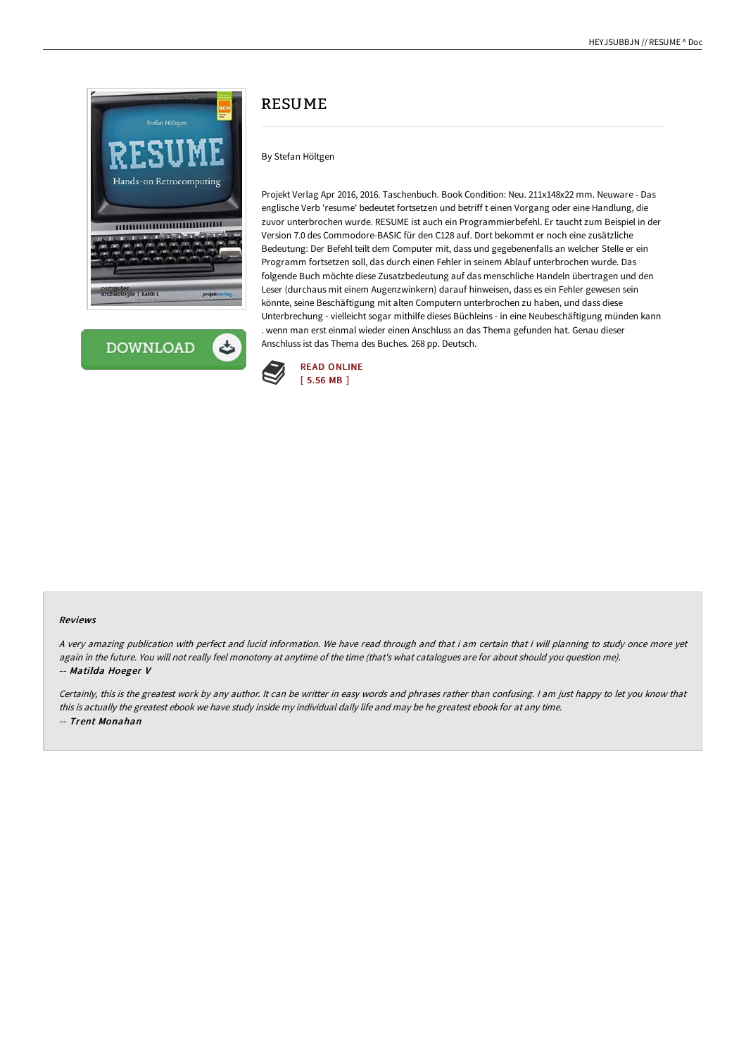



# RESUME

## By Stefan Höltgen

Projekt Verlag Apr 2016, 2016. Taschenbuch. Book Condition: Neu. 211x148x22 mm. Neuware - Das englische Verb 'resume' bedeutet fortsetzen und betriff t einen Vorgang oder eine Handlung, die zuvor unterbrochen wurde. RESUME ist auch ein Programmierbefehl. Er taucht zum Beispiel in der Version 7.0 des Commodore-BASIC für den C128 auf. Dort bekommt er noch eine zusätzliche Bedeutung: Der Befehl teilt dem Computer mit, dass und gegebenenfalls an welcher Stelle er ein Programm fortsetzen soll, das durch einen Fehler in seinem Ablauf unterbrochen wurde. Das folgende Buch möchte diese Zusatzbedeutung auf das menschliche Handeln übertragen und den Leser (durchaus mit einem Augenzwinkern) darauf hinweisen, dass es ein Fehler gewesen sein könnte, seine Beschäftigung mit alten Computern unterbrochen zu haben, und dass diese Unterbrechung - vielleicht sogar mithilfe dieses Büchleins - in eine Neubeschäftigung münden kann . wenn man erst einmal wieder einen Anschluss an das Thema gefunden hat. Genau dieser Anschluss ist das Thema des Buches. 268 pp. Deutsch.



#### Reviews

<sup>A</sup> very amazing publication with perfect and lucid information. We have read through and that i am certain that i will planning to study once more yet again in the future. You will not really feel monotony at anytime of the time (that's what catalogues are for about should you question me). -- Matilda Hoeger V

Certainly, this is the greatest work by any author. It can be writter in easy words and phrases rather than confusing. <sup>I</sup> am just happy to let you know that this is actually the greatest ebook we have study inside my individual daily life and may be he greatest ebook for at any time. -- Trent Monahan